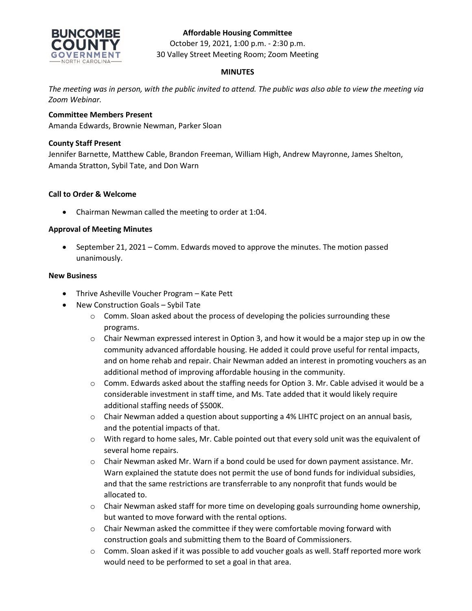## **Affordable Housing Committee**



October 19, 2021, 1:00 p.m. - 2:30 p.m. 30 Valley Street Meeting Room; Zoom Meeting

# **MINUTES**

*The meeting was in person, with the public invited to attend. The public was also able to view the meeting via Zoom Webinar.*

## **Committee Members Present**

Amanda Edwards, Brownie Newman, Parker Sloan

## **County Staff Present**

Jennifer Barnette, Matthew Cable, Brandon Freeman, William High, Andrew Mayronne, James Shelton, Amanda Stratton, Sybil Tate, and Don Warn

## **Call to Order & Welcome**

• Chairman Newman called the meeting to order at 1:04.

#### **Approval of Meeting Minutes**

• September 21, 2021 – Comm. Edwards moved to approve the minutes. The motion passed unanimously.

#### **New Business**

- Thrive Asheville Voucher Program Kate Pett
- New Construction Goals Sybil Tate
	- $\circ$  Comm. Sloan asked about the process of developing the policies surrounding these programs.
	- $\circ$  Chair Newman expressed interest in Option 3, and how it would be a major step up in ow the community advanced affordable housing. He added it could prove useful for rental impacts, and on home rehab and repair. Chair Newman added an interest in promoting vouchers as an additional method of improving affordable housing in the community.
	- o Comm. Edwards asked about the staffing needs for Option 3. Mr. Cable advised it would be a considerable investment in staff time, and Ms. Tate added that it would likely require additional staffing needs of \$500K.
	- $\circ$  Chair Newman added a question about supporting a 4% LIHTC project on an annual basis, and the potential impacts of that.
	- o With regard to home sales, Mr. Cable pointed out that every sold unit was the equivalent of several home repairs.
	- $\circ$  Chair Newman asked Mr. Warn if a bond could be used for down payment assistance. Mr. Warn explained the statute does not permit the use of bond funds for individual subsidies, and that the same restrictions are transferrable to any nonprofit that funds would be allocated to.
	- $\circ$  Chair Newman asked staff for more time on developing goals surrounding home ownership, but wanted to move forward with the rental options.
	- $\circ$  Chair Newman asked the committee if they were comfortable moving forward with construction goals and submitting them to the Board of Commissioners.
	- o Comm. Sloan asked if it was possible to add voucher goals as well. Staff reported more work would need to be performed to set a goal in that area.